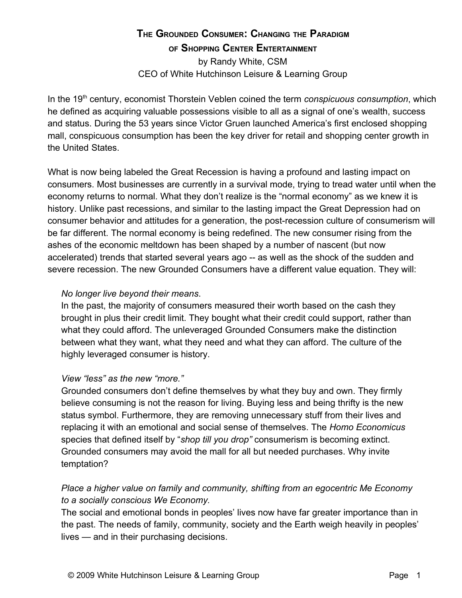# **THE GROUNDED CONSUMER: CHANGING THE PARADIGM OF SHOPPING CENTER ENTERTAINMENT**

by Randy White, CSM CEO of White Hutchinson Leisure & Learning Group

In the 19<sup>th</sup> century, economist Thorstein Veblen coined the term *conspicuous consumption*, which he defined as acquiring valuable possessions visible to all as a signal of one's wealth, success and status. During the 53 years since Victor Gruen launched America's first enclosed shopping mall, conspicuous consumption has been the key driver for retail and shopping center growth in the United States.

What is now being labeled the Great Recession is having a profound and lasting impact on consumers. Most businesses are currently in a survival mode, trying to tread water until when the economy returns to normal. What they don't realize is the "normal economy" as we knew it is history. Unlike past recessions, and similar to the lasting impact the Great Depression had on consumer behavior and attitudes for a generation, the post-recession culture of consumerism will be far different. The normal economy is being redefined. The new consumer rising from the ashes of the economic meltdown has been shaped by a number of nascent (but now accelerated) trends that started several years ago -- as well as the shock of the sudden and severe recession. The new Grounded Consumers have a different value equation. They will:

#### *No longer live beyond their means*.

In the past, the majority of consumers measured their worth based on the cash they brought in plus their credit limit. They bought what their credit could support, rather than what they could afford. The unleveraged Grounded Consumers make the distinction between what they want, what they need and what they can afford. The culture of the highly leveraged consumer is history.

## *View "less" as the new "more."*

Grounded consumers don't define themselves by what they buy and own. They firmly believe consuming is not the reason for living. Buying less and being thrifty is the new status symbol. Furthermore, they are removing unnecessary stuff from their lives and replacing it with an emotional and social sense of themselves. The *Homo Economicus* species that defined itself by "*shop till you drop"* consumerism is becoming extinct. Grounded consumers may avoid the mall for all but needed purchases. Why invite temptation?

## *Place a higher value on family and community, shifting from an egocentric Me Economy to a socially conscious We Economy.*

The social and emotional bonds in peoples' lives now have far greater importance than in the past. The needs of family, community, society and the Earth weigh heavily in peoples' lives — and in their purchasing decisions.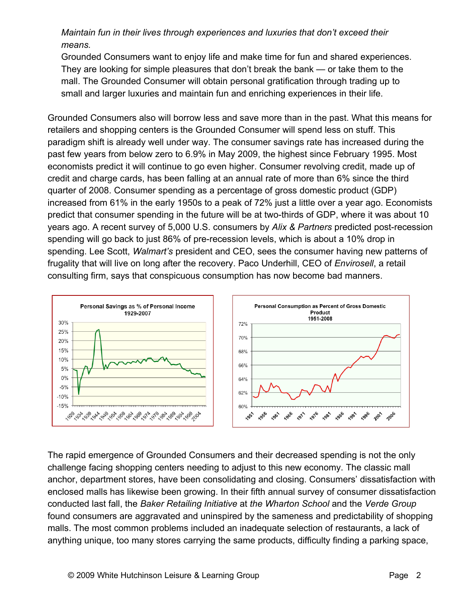# *Maintain fun in their lives through experiences and luxuries that don't exceed their means.*

Grounded Consumers want to enjoy life and make time for fun and shared experiences. They are looking for simple pleasures that don't break the bank — or take them to the mall. The Grounded Consumer will obtain personal gratification through trading up to small and larger luxuries and maintain fun and enriching experiences in their life.

Grounded Consumers also will borrow less and save more than in the past. What this means for retailers and shopping centers is the Grounded Consumer will spend less on stuff. This paradigm shift is already well under way. The consumer savings rate has increased during the past few years from below zero to 6.9% in May 2009, the highest since February 1995. Most economists predict it will continue to go even higher. Consumer revolving credit, made up of credit and charge cards, has been falling at an annual rate of more than 6% since the third quarter of 2008. Consumer spending as a percentage of gross domestic product (GDP) increased from 61% in the early 1950s to a peak of 72% just a little over a year ago. Economists predict that consumer spending in the future will be at two-thirds of GDP, where it was about 10 years ago. A recent survey of 5,000 U.S. consumers by *Alix & Partners* predicted post-recession spending will go back to just 86% of pre-recession levels, which is about a 10% drop in spending. Lee Scott, *Walmart's* president and CEO, sees the consumer having new patterns of frugality that will live on long after the recovery. Paco Underhill, CEO of *Envirosell*, a retail consulting firm, says that conspicuous consumption has now become bad manners.



The rapid emergence of Grounded Consumers and their decreased spending is not the only challenge facing shopping centers needing to adjust to this new economy. The classic mall anchor, department stores, have been consolidating and closing. Consumers' dissatisfaction with enclosed malls has likewise been growing. In their fifth annual survey of consumer dissatisfaction conducted last fall, the *Baker Retailing Initiative* at *the Wharton School* and the *Verde Group* found consumers are aggravated and uninspired by the sameness and predictability of shopping malls. The most common problems included an inadequate selection of restaurants, a lack of anything unique, too many stores carrying the same products, difficulty finding a parking space,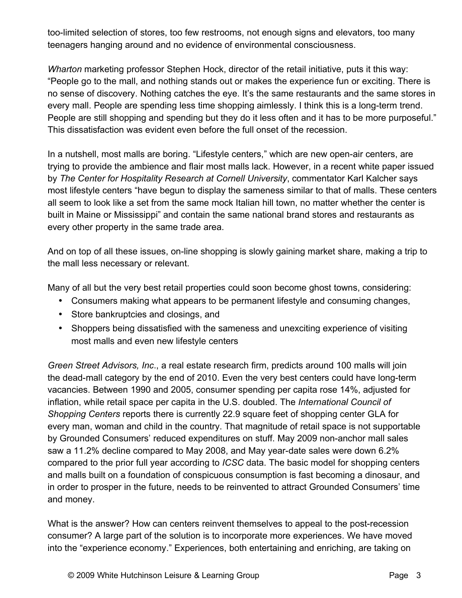too-limited selection of stores, too few restrooms, not enough signs and elevators, too many teenagers hanging around and no evidence of environmental consciousness.

*Wharton* marketing professor Stephen Hock, director of the retail initiative, puts it this way: "People go to the mall, and nothing stands out or makes the experience fun or exciting. There is no sense of discovery. Nothing catches the eye. It's the same restaurants and the same stores in every mall. People are spending less time shopping aimlessly. I think this is a long-term trend. People are still shopping and spending but they do it less often and it has to be more purposeful." This dissatisfaction was evident even before the full onset of the recession.

In a nutshell, most malls are boring. "Lifestyle centers," which are new open-air centers, are trying to provide the ambience and flair most malls lack. However, in a recent white paper issued by *The Center for Hospitality Research at Cornell University*, commentator Karl Kalcher says most lifestyle centers "have begun to display the sameness similar to that of malls. These centers all seem to look like a set from the same mock Italian hill town, no matter whether the center is built in Maine or Mississippi" and contain the same national brand stores and restaurants as every other property in the same trade area.

And on top of all these issues, on-line shopping is slowly gaining market share, making a trip to the mall less necessary or relevant.

Many of all but the very best retail properties could soon become ghost towns, considering:

- Consumers making what appears to be permanent lifestyle and consuming changes,
- Store bankruptcies and closings, and
- Shoppers being dissatisfied with the sameness and unexciting experience of visiting most malls and even new lifestyle centers

*Green Street Advisors, Inc*., a real estate research firm, predicts around 100 malls will join the dead-mall category by the end of 2010. Even the very best centers could have long-term vacancies. Between 1990 and 2005, consumer spending per capita rose 14%, adjusted for inflation, while retail space per capita in the U.S. doubled. The *International Council of Shopping Centers* reports there is currently 22.9 square feet of shopping center GLA for every man, woman and child in the country. That magnitude of retail space is not supportable by Grounded Consumers' reduced expenditures on stuff. May 2009 non-anchor mall sales saw a 11.2% decline compared to May 2008, and May year-date sales were down 6.2% compared to the prior full year according to *ICSC* data. The basic model for shopping centers and malls built on a foundation of conspicuous consumption is fast becoming a dinosaur, and in order to prosper in the future, needs to be reinvented to attract Grounded Consumers' time and money.

What is the answer? How can centers reinvent themselves to appeal to the post-recession consumer? A large part of the solution is to incorporate more experiences. We have moved into the "experience economy." Experiences, both entertaining and enriching, are taking on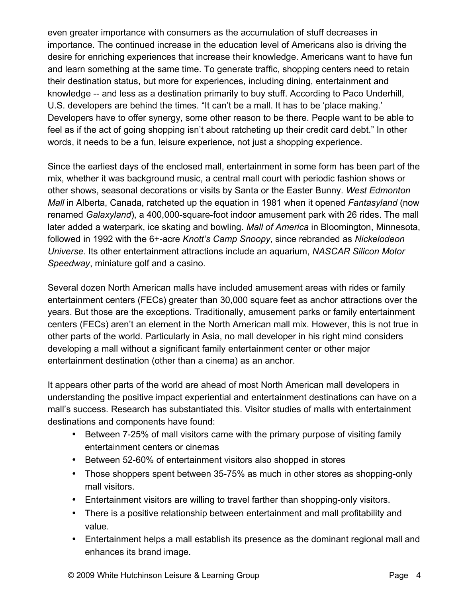even greater importance with consumers as the accumulation of stuff decreases in importance. The continued increase in the education level of Americans also is driving the desire for enriching experiences that increase their knowledge. Americans want to have fun and learn something at the same time. To generate traffic, shopping centers need to retain their destination status, but more for experiences, including dining, entertainment and knowledge -- and less as a destination primarily to buy stuff. According to Paco Underhill, U.S. developers are behind the times. "It can't be a mall. It has to be 'place making.' Developers have to offer synergy, some other reason to be there. People want to be able to feel as if the act of going shopping isn't about ratcheting up their credit card debt." In other words, it needs to be a fun, leisure experience, not just a shopping experience.

Since the earliest days of the enclosed mall, entertainment in some form has been part of the mix, whether it was background music, a central mall court with periodic fashion shows or other shows, seasonal decorations or visits by Santa or the Easter Bunny. *West Edmonton Mall* in Alberta, Canada, ratcheted up the equation in 1981 when it opened *Fantasyland* (now renamed *Galaxyland*), a 400,000-square-foot indoor amusement park with 26 rides. The mall later added a waterpark, ice skating and bowling. *Mall of America* in Bloomington, Minnesota, followed in 1992 with the 6+-acre *Knott's Camp Snoopy*, since rebranded as *Nickelodeon Universe*. Its other entertainment attractions include an aquarium, *NASCAR Silicon Motor Speedway*, miniature golf and a casino.

Several dozen North American malls have included amusement areas with rides or family entertainment centers (FECs) greater than 30,000 square feet as anchor attractions over the years. But those are the exceptions. Traditionally, amusement parks or family entertainment centers (FECs) aren't an element in the North American mall mix. However, this is not true in other parts of the world. Particularly in Asia, no mall developer in his right mind considers developing a mall without a significant family entertainment center or other major entertainment destination (other than a cinema) as an anchor.

It appears other parts of the world are ahead of most North American mall developers in understanding the positive impact experiential and entertainment destinations can have on a mall's success. Research has substantiated this. Visitor studies of malls with entertainment destinations and components have found:

- Between 7-25% of mall visitors came with the primary purpose of visiting family entertainment centers or cinemas
- Between 52-60% of entertainment visitors also shopped in stores
- Those shoppers spent between 35-75% as much in other stores as shopping-only mall visitors.
- Entertainment visitors are willing to travel farther than shopping-only visitors.
- There is a positive relationship between entertainment and mall profitability and value.
- Entertainment helps a mall establish its presence as the dominant regional mall and enhances its brand image.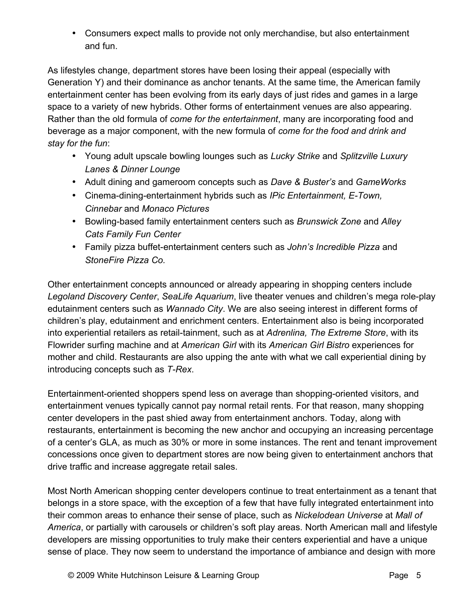• Consumers expect malls to provide not only merchandise, but also entertainment and fun.

As lifestyles change, department stores have been losing their appeal (especially with Generation Y) and their dominance as anchor tenants. At the same time, the American family entertainment center has been evolving from its early days of just rides and games in a large space to a variety of new hybrids. Other forms of entertainment venues are also appearing. Rather than the old formula of *come for the entertainment*, many are incorporating food and beverage as a major component, with the new formula of *come for the food and drink and stay for the fun*:

- Young adult upscale bowling lounges such as *Lucky Strike* and *Splitzville Luxury Lanes & Dinner Lounge*
- Adult dining and gameroom concepts such as *Dave & Buster's* and *GameWorks*
- Cinema-dining-entertainment hybrids such as *IPic Entertainment, E-Town, Cinnebar* and *Monaco Pictures*
- Bowling-based family entertainment centers such as *Brunswick Zone* and *Alley Cats Family Fun Center*
- Family pizza buffet-entertainment centers such as *John's Incredible Pizza* and *StoneFire Pizza Co.*

Other entertainment concepts announced or already appearing in shopping centers include *Legoland Discovery Center*, *SeaLife Aquarium*, live theater venues and children's mega role-play edutainment centers such as *Wannado City*. We are also seeing interest in different forms of children's play, edutainment and enrichment centers. Entertainment also is being incorporated into experiential retailers as retail-tainment, such as at *Adrenlina, The Extreme Store*, with its Flowrider surfing machine and at *American Girl* with its *American Girl Bistro* experiences for mother and child. Restaurants are also upping the ante with what we call experiential dining by introducing concepts such as *T-Rex*.

Entertainment-oriented shoppers spend less on average than shopping-oriented visitors, and entertainment venues typically cannot pay normal retail rents. For that reason, many shopping center developers in the past shied away from entertainment anchors. Today, along with restaurants, entertainment is becoming the new anchor and occupying an increasing percentage of a center's GLA, as much as 30% or more in some instances. The rent and tenant improvement concessions once given to department stores are now being given to entertainment anchors that drive traffic and increase aggregate retail sales.

Most North American shopping center developers continue to treat entertainment as a tenant that belongs in a store space, with the exception of a few that have fully integrated entertainment into their common areas to enhance their sense of place, such as *Nickelodean Universe* at *Mall of America*, or partially with carousels or children's soft play areas. North American mall and lifestyle developers are missing opportunities to truly make their centers experiential and have a unique sense of place. They now seem to understand the importance of ambiance and design with more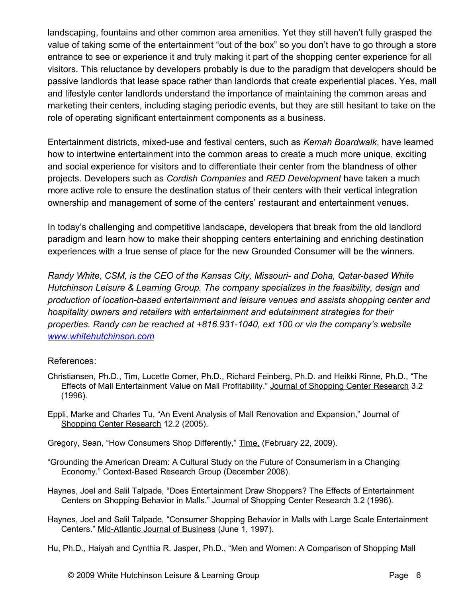landscaping, fountains and other common area amenities. Yet they still haven't fully grasped the value of taking some of the entertainment "out of the box" so you don't have to go through a store entrance to see or experience it and truly making it part of the shopping center experience for all visitors. This reluctance by developers probably is due to the paradigm that developers should be passive landlords that lease space rather than landlords that create experiential places. Yes, mall and lifestyle center landlords understand the importance of maintaining the common areas and marketing their centers, including staging periodic events, but they are still hesitant to take on the role of operating significant entertainment components as a business.

Entertainment districts, mixed-use and festival centers, such as *Kemah Boardwalk*, have learned how to intertwine entertainment into the common areas to create a much more unique, exciting and social experience for visitors and to differentiate their center from the blandness of other projects. Developers such as *Cordish Companies* and *RED Development* have taken a much more active role to ensure the destination status of their centers with their vertical integration ownership and management of some of the centers' restaurant and entertainment venues.

In today's challenging and competitive landscape, developers that break from the old landlord paradigm and learn how to make their shopping centers entertaining and enriching destination experiences with a true sense of place for the new Grounded Consumer will be the winners.

*Randy White, CSM, is the CEO of the Kansas City, Missouri- and Doha, Qatar-based White Hutchinson Leisure & Learning Group. The company specializes in the feasibility, design and production of location-based entertainment and leisure venues and assists shopping center and hospitality owners and retailers with entertainment and edutainment strategies for their properties. Randy can be reached at +816.931-1040, ext 100 or via the company's website [www.whitehutchinson.com](http://www.whitehutchinson.com/)*

#### References:

- Christiansen, Ph.D., Tim, Lucette Comer, Ph.D., Richard Feinberg, Ph.D. and Heikki Rinne, Ph.D., "The Effects of Mall Entertainment Value on Mall Profitability." Journal of Shopping Center Research 3.2 (1996).
- Eppli, Marke and Charles Tu, "An Event Analysis of Mall Renovation and Expansion," Journal of Shopping Center Research 12.2 (2005).
- Gregory, Sean, "How Consumers Shop Differently," Time, (February 22, 2009).
- "Grounding the American Dream: A Cultural Study on the Future of Consumerism in a Changing Economy." Context-Based Research Group (December 2008).
- Haynes, Joel and Salil Talpade, "Does Entertainment Draw Shoppers? The Effects of Entertainment Centers on Shopping Behavior in Malls." Journal of Shopping Center Research 3.2 (1996).
- Haynes, Joel and Salil Talpade, "Consumer Shopping Behavior in Malls with Large Scale Entertainment Centers." Mid-Atlantic Journal of Business (June 1, 1997).

Hu, Ph.D., Haiyah and Cynthia R. Jasper, Ph.D., "Men and Women: A Comparison of Shopping Mall